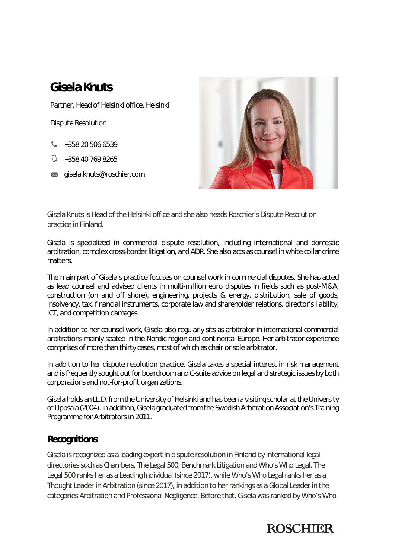# **Gisela Knuts**

Partner, Head of Helsinki office, Helsinki

Dispute Resolution

- $\frac{1}{2}$  +358 20 506 6539
- $\Box$  +358 40 769 8265
- $\bowtie$  gisela.knuts@roschier.com



Gisela Knuts is Head of the Helsinki office and she also heads Roschier's Dispute Resolution practice in Finland.

Gisela is specialized in commercial dispute resolution, including international and domestic arbitration, complex cross-border litigation, and ADR. She also acts as counsel in white collar crime matters.

The main part of Gisela's practice focuses on counsel work in commercial disputes. She has acted as lead counsel and advised clients in multi-million euro disputes in fields such as post-M&A, construction (on and off shore), engineering, projects & energy, distribution, sale of goods, insolvency, tax, financial instruments, corporate law and shareholder relations, director's liability, ICT, and competition damages.

In addition to her counsel work, Gisela also regularly sits as arbitrator in international commercial arbitrations mainly seated in the Nordic region and continental Europe. Her arbitrator experience comprises of more than thirty cases, most of which as chair or sole arbitrator.

In addition to her dispute resolution practice, Gisela takes a special interest in risk management and is frequently sought out for boardroom and C-suite advice on legal and strategic issues by both corporations and not-for-profit organizations.

Gisela holds an LL.D. from the University of Helsinki and has been a visiting scholar at the University of Uppsala (2004). In addition, Gisela graduated from the Swedish Arbitration Association's Training Programme for Arbitrators in 2011.

## **Recognitions**

Gisela is recognized as a leading expert in dispute resolution in Finland by international legal directories such as Chambers, The Legal 500, Benchmark Litigation and Who's Who Legal. The Legal 500 ranks her as a Leading Individual (since 2017), while Who's Who Legal ranks her as a Thought Leader in Arbitration (since 2017), in addition to her rankings as a Global Leader in the categories Arbitration and Professional Negligence. Before that, Gisela was ranked by Who's Who

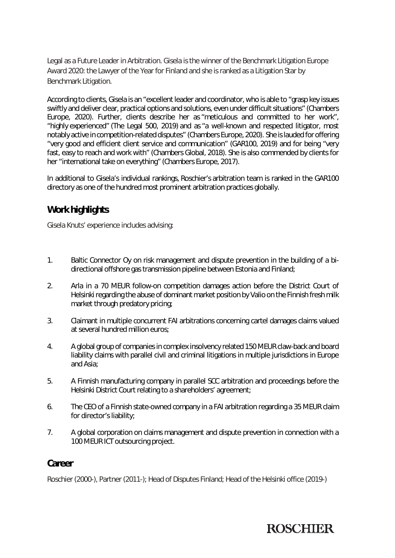Legal as a Future Leader in Arbitration. Gisela is the winner of the Benchmark Litigation Europe Award 2020: the Lawyer of the Year for Finland and she is ranked as a Litigation Star by Benchmark Litigation.

According to clients, Gisela is an "excellent leader and coordinator, who is able to "grasp key issues swiftly and deliver clear, practical options and solutions, even under difficult situations" (Chambers Europe, 2020). Further, clients describe her as "meticulous and committed to her work", "highly experienced" (The Legal 500, 2019) and as "a well-known and respected litigator, most notably active in competition-related disputes" (Chambers Europe, 2020). She is lauded for offering "very good and efficient client service and communication" (GAR100, 2019) and for being "very fast, easy to reach and work with" (Chambers Global, 2018). She is also commended by clients for her "international take on everything" (Chambers Europe, 2017).

In additional to Gisela's individual rankings, Roschier's arbitration team is ranked in the GAR100 directory as one of the hundred most prominent arbitration practices globally.

## **Work highlights**

Gisela Knuts' experience includes advising:

- 1. Baltic Connector Oy on risk management and dispute prevention in the building of a bidirectional offshore gas transmission pipeline between Estonia and Finland;
- 2. Arla in a 70 MEUR follow-on competition damages action before the District Court of Helsinki regarding the abuse of dominant market position by Valio on the Finnish fresh milk market through predatory pricing;
- 3. Claimant in multiple concurrent FAI arbitrations concerning cartel damages claims valued at several hundred million euros;
- 4. A global group of companies in complex insolvency related 150 MEUR claw-back and board liability claims with parallel civil and criminal litigations in multiple jurisdictions in Europe and Asia;
- 5. A Finnish manufacturing company in parallel SCC arbitration and proceedings before the Helsinki District Court relating to a shareholders' agreement;
- 6. The CEO of a Finnish state-owned company in a FAI arbitration regarding a 35 MEUR claim for director's liability;
- 7. A global corporation on claims management and dispute prevention in connection with a 100 MEUR ICT outsourcing project.

## **Career**

Roschier (2000-), Partner (2011-); Head of Disputes Finland; Head of the Helsinki office (2019-)

# **ROSCHIER**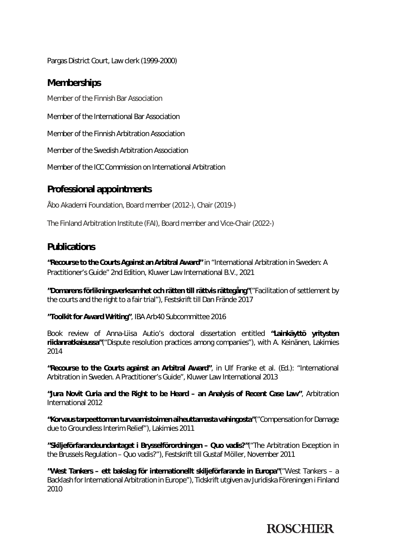Pargas District Court, Law clerk (1999-2000)

#### **Memberships**

Member of the Finnish Bar Association

Member of the International Bar Association

Member of the Finnish Arbitration Association

Member of the Swedish Arbitration Association

Member of the ICC Commission on International Arbitration

#### **Professional appointments**

Åbo Akademi Foundation, Board member (2012-), Chair (2019-)

The Finland Arbitration Institute (FAI), Board member and Vice-Chair (2022-)

#### **Publications**

**"Recourse to the Courts Against an Arbitral Award"** in "International Arbitration in Sweden: A Practitioner's Guide" 2nd Edition, Kluwer Law International B.V., 2021

**"Domarens förlikningsverksamhet och rätten till rättvis rättegång"**("Facilitation of settlement by the courts and the right to a fair trial"), Festskrift till Dan Frände 2017

**"Toolkit for Award Writing"**, IBA Arb40 Subcommittee 2016

Book review of Anna-Liisa Autio's doctoral dissertation entitled **"Lainkäyttö yritysten riidanratkaisussa"**("Dispute resolution practices among companies"), with A. Keinänen, Lakimies 2014

**"Recourse to the Courts against an Arbitral Award"**, in Ulf Franke et al. (Ed.): "International Arbitration in Sweden. A Practitioner's Guide", Kluwer Law International 2013

**"Jura Novit Curia and the Right to be Heard – an Analysis of Recent Case Law"**, Arbitration International 2012

**"Korvaus tarpeettoman turvaamistoimen aiheuttamasta vahingosta"**("Compensation for Damage due to Groundless Interim Relief"), Lakimies 2011

**"Skiljeförfarandeundantaget i Brysselförordningen – Quo vadis?"**("The Arbitration Exception in the Brussels Regulation – Quo vadis?"), Festskrift till Gustaf Möller, November 2011

**"West Tankers – ett bakslag för internationellt skiljeförfarande in Europa"**("West Tankers – a Backlash for International Arbitration in Europe"), Tidskrift utgiven av Juridiska Föreningen i Finland 2010

## **ROSCHIER**